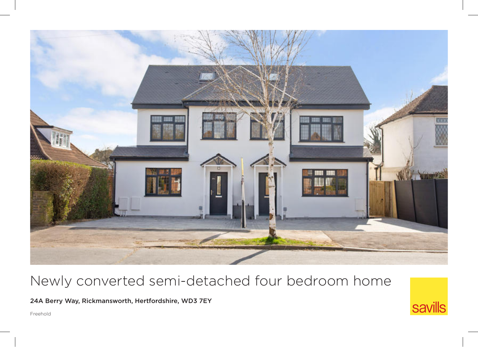

# Newly converted semi-detached four bedroom home

24A Berry Way, Rickmansworth, Hertfordshire, WD3 7EY

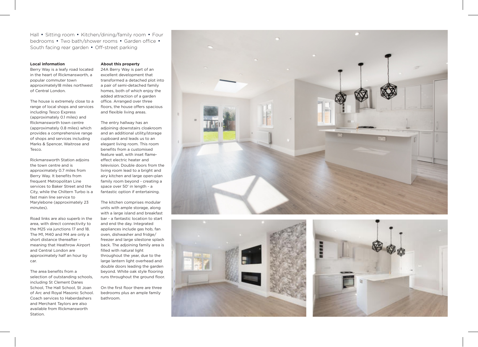Hall • Sitting room • Kitchen/dining/family room • Four bedrooms • Two bath/shower rooms • Garden office • South facing rear garden • Off-street parking

#### **Local information**

Berry Way is a leafy road located in the heart of Rickmansworth, a popular commuter town approximately18 miles northwest of Central London.

The house is extremely close to a range of local shops and services including Tesco Express (approximately 0.1 miles) and Rickmansworth town centre (approximately 0.8 miles) which provides a comprehensive range of shops and services including Marks & Spencer, Waitrose and Tesco.

Rickmansworth Station adjoins the town centre and is approximately 0.7 miles from Berry Way. It benefits from frequent Metropolitan Line services to Baker Street and the City, while the Chiltern Turbo is a fast main line service to Marylebone (approximately 23 minutes).

Road links are also superb in the area, with direct connectivity to the M25 via junctions 17 and 18. The M1, M40 and M4 are only a short distance thereafter meaning that Heathrow Airport and Central London are approximately half an hour by car.

The area benefits from a selection of outstanding schools, including St Clement Danes School, The Hall School, St Joan of Arc and Royal Masonic School. Coach services to Haberdashers and Merchant Taylors are also available from Rickmansworth Station.

#### **About this property**

24A Berry Way is part of an excellent development that transformed a detached plot into a pair of semi-detached family homes, both of which enjoy the added attraction of a garden office. Arranged over three floors, the house offers spacious and flexible living areas.

The entry hallway has an adjoining downstairs cloakroom and an additional utility/storage cupboard and leads us to an elegant living room. This room benefits from a customised feature wall, with inset flameeffect electric heater and television. Double doors from the living room lead to a bright and airy kitchen and large open-plan family room beyond - creating a space over 50' in length - a fantastic option if entertaining.

The kitchen comprises modular units with ample storage, along with a large island and breakfast bar - a fantastic location to start and end the day. Integrated appliances include gas hob, fan oven, dishwasher and fridge/ freezer and large silestone splash back. The adjoining family area is filled with natural light throughout the year, due to the large lantern light overhead and double doors leading the garden beyond. White oak style flooring runs throughout the ground floor.

On the first floor there are three bedrooms plus an ample family bathroom.





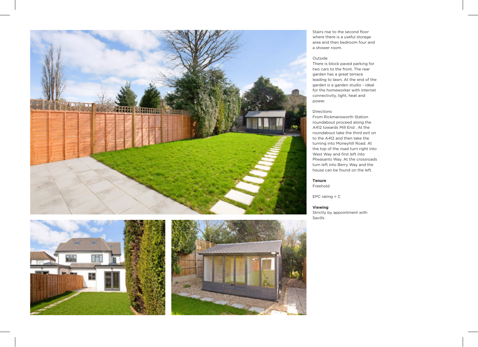





Stairs rise to the second floor where there is a useful storage area and then bedroom four and a shower room.

## Outside

There is block paved parking for two cars to the front. The rear garden has a great terrace leading to lawn. At the end of the garden is a garden studio - ideal for the homeworker with internet connectivity, light, heat and power.

### Directions

From Rickmansworth Station roundabout proceed along the A412 towards Mill End . At the roundabout take the third exit on to the A412 and then take the turning into Moneyhill Road. At the top of the road turn right into West Way and first left into Pheasants Way. At the crossroads turn left into Berry Way and the house can be found on the left.

#### **Tenure** Freehold

EPC rating = C

## **Viewing**

Strictly by appointment with Savills